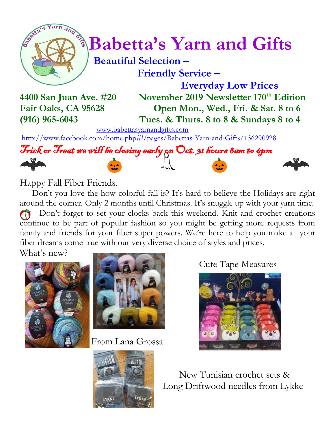

# $\int_{0}^{\infty}$  **Babetta's Yarn and Gifts**

## **Beautiful Selection – Friendly Service –**

 **Everyday Low Prices 4400 San Juan Ave. #20 November 2019 Newsletter 170th Edition Fair Oaks, CA 95628 Open Mon., Wed., Fri. & Sat. 8 to 6 (916) 965-6043 Tues. & Thurs. 8 to 8 & Sundays 8 to 4**

[www.babettasyarnandgifts.com](http://www.babettasyarnandgifts.com/)

<http://www.facebook.com/home.php#!/pages/Babettas-Yarn-and-Gifts/136290928>



Happy Fall Fiber Friends,

 Don't you love the how colorful fall is? It's hard to believe the Holidays are right around the corner. Only 2 months until Christmas. It's snuggle up with your yarn time. Don't forget to set your clocks back this weekend. Knit and crochet creations continue to be part of popular fashion so you might be getting more requests from family and friends for your fiber super powers. We're here to help you make all your fiber dreams come true with our very diverse choice of styles and prices. What's new?



From Lana Grossa

Cute Tape Measures





 New Tunisian crochet sets & Long Driftwood needles from Lykke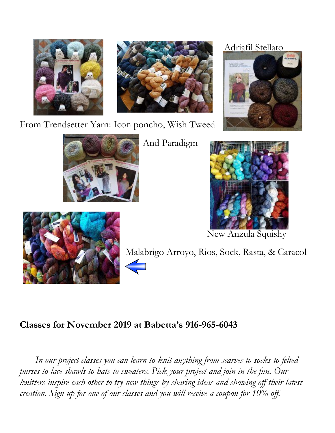



From Trendsetter Yarn: Icon poncho, Wish Tweed



And Paradigm

### Adriafil Stellato





New Anzula Squishy



Malabrigo Arroyo, Rios, Sock, Rasta, & Caracol

## **Classes for November 2019 at Babetta's 916-965-6043**

 *In our project classes you can learn to knit anything from scarves to socks to felted purses to lace shawls to hats to sweaters. Pick your project and join in the fun. Our knitters inspire each other to try new things by sharing ideas and showing off their latest creation. Sign up for one of our classes and you will receive a coupon for 10% off.*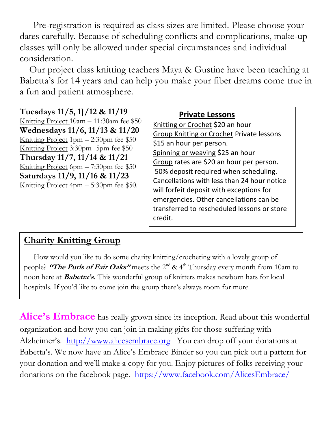Pre-registration is required as class sizes are limited. Please choose your dates carefully. Because of scheduling conflicts and complications, make-up classes will only be allowed under special circumstances and individual consideration.

Our project class knitting teachers Maya & Gustine have been teaching at Babetta's for 14 years and can help you make your fiber dreams come true in a fun and patient atmosphere.

**Tuesdays 11/5, 1]/12 & 11/19** Knitting Project 10am – 11:30am fee \$50 **Wednesdays 11/6, 11/13 & 11/20** Knitting Project 1pm – 2:30pm fee \$50 Knitting Project 3:30pm- 5pm fee \$50 **Thursday 11/7, 11/14 & 11/21** Knitting Project 6pm – 7:30pm fee \$50 **Saturdays 11/9, 11/16 & 11/23** Knitting Project 4pm – 5:30pm fee \$50.

#### **Private Lessons**

Knitting or Crochet \$20 an hour Group Knitting or Crochet Private lessons \$15 an hour per person. Spinning or weaving \$25 an hour Group rates are \$20 an hour per person. 50% deposit required when scheduling. Cancellations with less than 24 hour notice will forfeit deposit with exceptions for emergencies. Other cancellations can be transferred to rescheduled lessons or store credit.

## **Charity Knitting Group**

 How would you like to do some charity knitting/crocheting with a lovely group of people? **"The Purls of Fair Oaks"** meets the 2<sup>nd</sup> & 4<sup>th</sup> Thursday every month from 10am to noon here at **Babetta's.** This wonderful group of knitters makes newborn hats for local hospitals. If you'd like to come join the group there's always room for more.

**Alice's Embrace** has really grown since its inception. Read about this wonderful organization and how you can join in making gifts for those suffering with Alzheimer's. [http://www.alicesembrace.org](http://www.alicesembrace.org/) You can drop off your donations at Babetta's. We now have an Alice's Embrace Binder so you can pick out a pattern for your donation and we'll make a copy for you. Enjoy pictures of folks receiving your donations on the facebook page. <https://www.facebook.com/AlicesEmbrace/>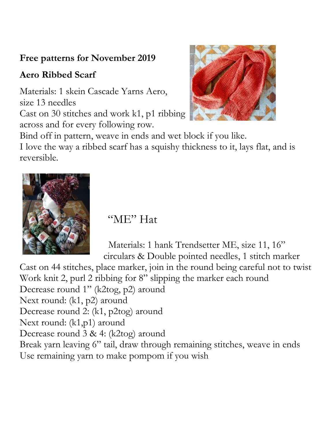## **Free patterns for November 2019**

## **Aero Ribbed Scarf**

Materials: 1 skein Cascade Yarns Aero, size 13 needles Cast on 30 stitches and work k1, p1 ribbing across and for every following row.



Bind off in pattern, weave in ends and wet block if you like.

I love the way a ribbed scarf has a squishy thickness to it, lays flat, and is reversible.



"ME" Hat

 Materials: 1 hank Trendsetter ME, size 11, 16" circulars & Double pointed needles, 1 stitch marker

Cast on 44 stitches, place marker, join in the round being careful not to twist Work knit 2, purl 2 ribbing for 8" slipping the marker each round Decrease round 1" (k2tog, p2) around Next round: (k1, p2) around Decrease round 2: (k1, p2tog) around Next round: (k1,p1) around Decrease round 3 & 4: (k2tog) around Break yarn leaving 6" tail, draw through remaining stitches, weave in ends Use remaining yarn to make pompom if you wish